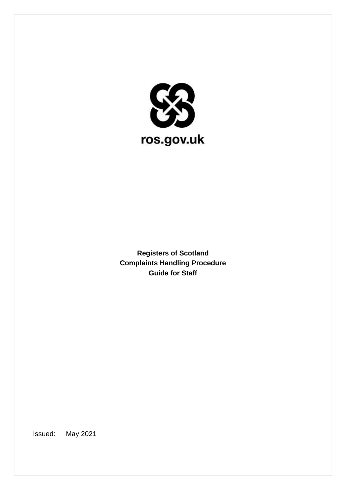

**Registers of Scotland Complaints Handling Procedure Guide for Staff**

Issued: May 2021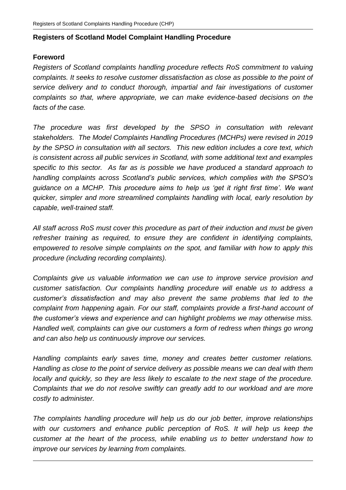# **Registers of Scotland Model Complaint Handling Procedure**

# **Foreword**

*Registers of Scotland complaints handling procedure reflects RoS commitment to valuing complaints. It seeks to resolve customer dissatisfaction as close as possible to the point of service delivery and to conduct thorough, impartial and fair investigations of customer complaints so that, where appropriate, we can make evidence-based decisions on the facts of the case.*

*The procedure was first developed by the SPSO in consultation with relevant stakeholders. The Model Complaints Handling Procedures (MCHPs) were revised in 2019 by the SPSO in consultation with all sectors. This new edition includes a core text, which is consistent across all public services in Scotland, with some additional text and examples specific to this sector. As far as is possible we have produced a standard approach to handling complaints across Scotland's public services, which complies with the SPSO's guidance on a MCHP. This procedure aims to help us 'get it right first time'. We want quicker, simpler and more streamlined complaints handling with local, early resolution by capable, well-trained staff.*

*All staff across RoS must cover this procedure as part of their induction and must be given refresher training as required, to ensure they are confident in identifying complaints, empowered to resolve simple complaints on the spot, and familiar with how to apply this procedure (including recording complaints).*

*Complaints give us valuable information we can use to improve service provision and customer satisfaction. Our complaints handling procedure will enable us to address a customer's dissatisfaction and may also prevent the same problems that led to the complaint from happening again. For our staff, complaints provide a first-hand account of the customer's views and experience and can highlight problems we may otherwise miss. Handled well, complaints can give our customers a form of redress when things go wrong and can also help us continuously improve our services.*

*Handling complaints early saves time, money and creates better customer relations. Handling as close to the point of service delivery as possible means we can deal with them locally and quickly, so they are less likely to escalate to the next stage of the procedure. Complaints that we do not resolve swiftly can greatly add to our workload and are more costly to administer.*

*The complaints handling procedure will help us do our job better, improve relationships with our customers and enhance public perception of RoS. It will help us keep the customer at the heart of the process, while enabling us to better understand how to improve our services by learning from complaints.*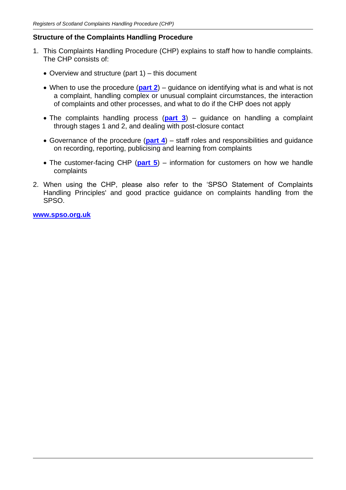### **Structure of the Complaints Handling Procedure**

- 1. This Complaints Handling Procedure (CHP) explains to staff how to handle complaints. The CHP consists of:
	- Overview and structure (part 1) this document
	- When to use the procedure (**[part 2](https://www.spso.org.uk/sites/spso/files/csa/SGMCHPPart2.docx)**) guidance on identifying what is and what is not a complaint, handling complex or unusual complaint circumstances, the interaction of complaints and other processes, and what to do if the CHP does not apply
	- The complaints handling process (**[part 3](https://www.spso.org.uk/sites/spso/files/csa/SGMCHPPart3.docx)**) guidance on handling a complaint through stages 1 and 2, and dealing with post-closure contact
	- Governance of the procedure (**[part 4](https://www.spso.org.uk/sites/spso/files/csa/SGMCHPPart4.docx)**) staff roles and responsibilities and guidance on recording, reporting, publicising and learning from complaints
	- The customer-facing CHP (**[part 5](https://www.spso.org.uk/sites/spso/files/csa/SGMCHPPart5.docx)**) information for customers on how we handle complaints
- 2. When using the CHP, please also refer to the 'SPSO Statement of Complaints Handling Principles' and good practice guidance on complaints handling from the SPSO.

**[www.spso.org.uk](http://www.spso.org.uk/)**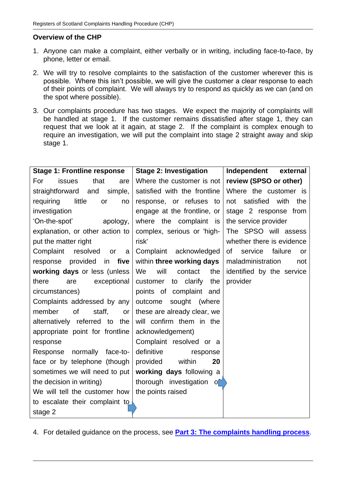# **Overview of the CHP**

- 1. Anyone can make a complaint, either verbally or in writing, including face-to-face, by phone, letter or email.
- 2. We will try to resolve complaints to the satisfaction of the customer wherever this is possible. Where this isn't possible, we will give the customer a clear response to each of their points of complaint. We will always try to respond as quickly as we can (and on the spot where possible).
- 3. Our complaints procedure has two stages. We expect the majority of complaints will be handled at stage 1. If the customer remains dissatisfied after stage 1, they can request that we look at it again, at stage 2. If the complaint is complex enough to require an investigation, we will put the complaint into stage 2 straight away and skip stage 1.

| <b>Stage 1: Frontline response</b> | <b>Stage 2: Investigation</b> | Independent<br>external         |
|------------------------------------|-------------------------------|---------------------------------|
| issues<br>that<br>For<br>are       | Where the customer is not     | review (SPSO or other)          |
| simple,<br>straightforward<br>and  | satisfied with the frontline  | Where the customer is           |
| little<br>requiring<br>or<br>no    | response, or refuses to       | satisfied<br>with<br>not<br>the |
| investigation                      | engage at the frontline, or   | stage 2 response from           |
| 'On-the-spot'<br>apology,          | where the complaint<br>is     | the service provider            |
| explanation, or other action to    | complex, serious or 'high-    | The SPSO will assess            |
| put the matter right               | risk'                         | whether there is evidence       |
| Complaint<br>resolved<br>or<br>a   | Complaint<br>acknowledged     | failure<br>service<br>of<br>or  |
| in five<br>response provided       | within three working days     | maladministration<br>not        |
| working days or less (unless       | will<br>We<br>contact<br>the  | identified by the service       |
| there<br>exceptional<br>are        | customer<br>to clarify<br>the | provider                        |
| circumstances)                     | points of complaint and       |                                 |
| Complaints addressed by any        | outcome<br>sought (where      |                                 |
| member<br>οf<br>staff,<br>or       | these are already clear, we   |                                 |
| alternatively referred to the      | will confirm them in the      |                                 |
| appropriate point for frontline    | acknowledgement)              |                                 |
| response                           | Complaint resolved or a       |                                 |
| normally face-to-<br>Response      | definitive<br>response        |                                 |
| face or by telephone (though       | provided<br>within<br>20      |                                 |
| sometimes we will need to put      | working days following a      |                                 |
| the decision in writing)           | thorough investigation o      |                                 |
| We will tell the customer how      | the points raised             |                                 |
| to escalate their complaint to     |                               |                                 |
| stage 2                            |                               |                                 |

4. For detailed guidance on the process, see **[Part 3: The complaints handling process](https://www.spso.org.uk/sites/spso/files/csa/SGMCHPPart3.docx)**.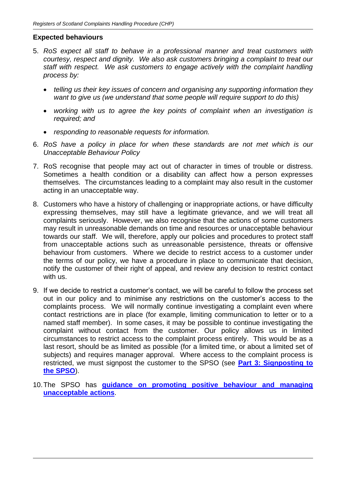### **Expected behaviours**

- 5. *RoS expect all staff to behave in a professional manner and treat customers with courtesy, respect and dignity. We also ask customers bringing a complaint to treat our staff with respect. We ask customers to engage actively with the complaint handling process by:*
	- *telling us their key issues of concern and organising any supporting information they want to give us (we understand that some people will require support to do this)*
	- *working with us to agree the key points of complaint when an investigation is required; and*
	- *responding to reasonable requests for information.*
- 6. *RoS have a policy in place for when these standards are not met which is our Unacceptable Behaviour Policy*
- 7. RoS recognise that people may act out of character in times of trouble or distress. Sometimes a health condition or a disability can affect how a person expresses themselves. The circumstances leading to a complaint may also result in the customer acting in an unacceptable way.
- 8. Customers who have a history of challenging or inappropriate actions, or have difficulty expressing themselves, may still have a legitimate grievance, and we will treat all complaints seriously. However, we also recognise that the actions of some customers may result in unreasonable demands on time and resources or unacceptable behaviour towards our staff. We will, therefore, apply our policies and procedures to protect staff from unacceptable actions such as unreasonable persistence, threats or offensive behaviour from customers. Where we decide to restrict access to a customer under the terms of our policy, we have a procedure in place to communicate that decision, notify the customer of their right of appeal, and review any decision to restrict contact with us.
- 9. If we decide to restrict a customer's contact, we will be careful to follow the process set out in our policy and to minimise any restrictions on the customer's access to the complaints process. We will normally continue investigating a complaint even where contact restrictions are in place (for example, limiting communication to letter or to a named staff member). In some cases, it may be possible to continue investigating the complaint without contact from the customer. Our policy allows us in limited circumstances to restrict access to the complaint process entirely. This would be as a last resort, should be as limited as possible (for a limited time, or about a limited set of subjects) and requires manager approval. Where access to the complaint process is restricted, we must signpost the customer to the SPSO (see **[Part 3: Signposting to](https://www.spso.org.uk/sites/spso/files/csa/SGMCHPPart3.docx)  [the SPSO](https://www.spso.org.uk/sites/spso/files/csa/SGMCHPPart3.docx)**).
- 10.The SPSO has **[guidance on promoting positive behaviour and managing](https://www.spso.org.uk/unacceptable-actions-policy)  [unacceptable actions](https://www.spso.org.uk/unacceptable-actions-policy).**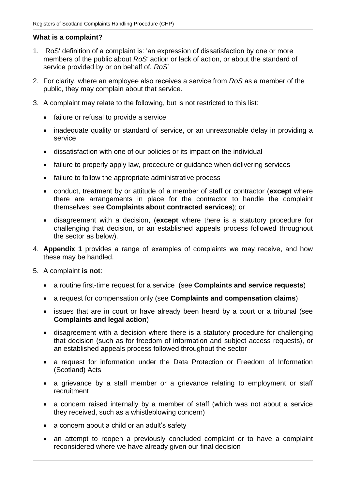## **What is a complaint?**

- 1. RoS' definition of a complaint is: 'an expression of dissatisfaction by one or more members of the public about *RoS'* action or lack of action, or about the standard of service provided by or on behalf of*. RoS*'
- 2. For clarity, where an employee also receives a service from *RoS* as a member of the public, they may complain about that service.
- 3. A complaint may relate to the following, but is not restricted to this list:
	- failure or refusal to provide a service
	- inadequate quality or standard of service, or an unreasonable delay in providing a service
	- dissatisfaction with one of our policies or its impact on the individual
	- failure to properly apply law, procedure or guidance when delivering services
	- failure to follow the appropriate administrative process
	- conduct, treatment by or attitude of a member of staff or contractor (**except** where there are arrangements in place for the contractor to handle the complaint themselves: see **Complaints about contracted services**); or
	- disagreement with a decision, (**except** where there is a statutory procedure for challenging that decision, or an established appeals process followed throughout the sector as below).
- 4. **Appendix 1** provides a range of examples of complaints we may receive, and how these may be handled.
- 5. A complaint **is not**:
	- a routine first-time request for a service (see **Complaints and service requests**)
	- a request for compensation only (see **Complaints and compensation claims**)
	- issues that are in court or have already been heard by a court or a tribunal (see **Complaints and legal action**)
	- disagreement with a decision where there is a statutory procedure for challenging that decision (such as for freedom of information and subject access requests), or an established appeals process followed throughout the sector
	- a request for information under the Data Protection or Freedom of Information (Scotland) Acts
	- a grievance by a staff member or a grievance relating to employment or staff recruitment
	- a concern raised internally by a member of staff (which was not about a service they received, such as a whistleblowing concern)
	- a concern about a child or an adult's safety
	- an attempt to reopen a previously concluded complaint or to have a complaint reconsidered where we have already given our final decision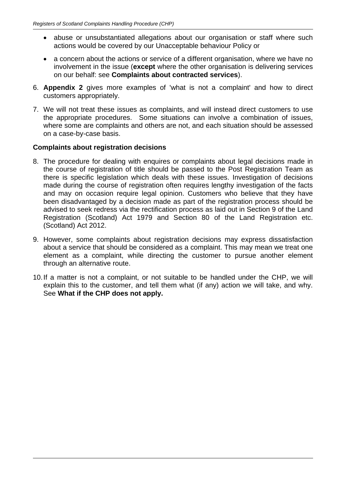- abuse or unsubstantiated allegations about our organisation or staff where such actions would be covered by our Unacceptable behaviour Policy or
- a concern about the actions or service of a different organisation, where we have no involvement in the issue (**except** where the other organisation is delivering services on our behalf: see **Complaints about contracted services**).
- 6. **Appendix 2** gives more examples of 'what is not a complaint' and how to direct customers appropriately.
- 7. We will not treat these issues as complaints, and will instead direct customers to use the appropriate procedures. Some situations can involve a combination of issues, where some are complaints and others are not, and each situation should be assessed on a case-by-case basis.

## **Complaints about registration decisions**

- 8. The procedure for dealing with enquires or complaints about legal decisions made in the course of registration of title should be passed to the Post Registration Team as there is specific legislation which deals with these issues. Investigation of decisions made during the course of registration often requires lengthy investigation of the facts and may on occasion require legal opinion. Customers who believe that they have been disadvantaged by a decision made as part of the registration process should be advised to seek redress via the rectification process as laid out in Section 9 of the Land Registration (Scotland) Act 1979 and Section 80 of the Land Registration etc. (Scotland) Act 2012.
- 9. However, some complaints about registration decisions may express dissatisfaction about a service that should be considered as a complaint. This may mean we treat one element as a complaint, while directing the customer to pursue another element through an alternative route.
- 10.If a matter is not a complaint, or not suitable to be handled under the CHP, we will explain this to the customer, and tell them what (if any) action we will take, and why. See **What if the CHP does not apply.**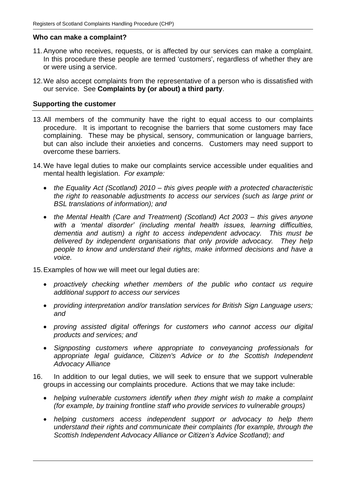#### **Who can make a complaint?**

- 11.Anyone who receives, requests, or is affected by our services can make a complaint. In this procedure these people are termed 'customers', regardless of whether they are or were using a service.
- 12.We also accept complaints from the representative of a person who is dissatisfied with our service. See **Complaints by (or about) a third party**.

#### **Supporting the customer**

- 13.All members of the community have the right to equal access to our complaints procedure. It is important to recognise the barriers that some customers may face complaining. These may be physical, sensory, communication or language barriers, but can also include their anxieties and concerns. Customers may need support to overcome these barriers.
- 14.We have legal duties to make our complaints service accessible under equalities and mental health legislation. *For example:* 
	- *the Equality Act (Scotland) 2010 – this gives people with a protected characteristic the right to reasonable adjustments to access our services (such as large print or BSL translations of information); and*
	- *the Mental Health (Care and Treatment) (Scotland) Act 2003 – this gives anyone*  with a 'mental disorder' (including mental health issues, learning difficulties, *dementia and autism) a right to access independent advocacy. This must be*  delivered by independent organisations that only provide advocacy. They help *people to know and understand their rights, make informed decisions and have a voice.*
- 15.Examples of how we will meet our legal duties are:
	- *proactively checking whether members of the public who contact us require additional support to access our services*
	- *providing interpretation and/or translation services for British Sign Language users; and*
	- *proving assisted digital offerings for customers who cannot access our digital products and services; and*
	- *Signposting customers where appropriate to conveyancing professionals for appropriate legal guidance, Citizen's Advice or to the Scottish Independent Advocacy Alliance*
- 16. In addition to our legal duties, we will seek to ensure that we support vulnerable groups in accessing our complaints procedure. Actions that we may take include:
	- *helping vulnerable customers identify when they might wish to make a complaint (for example, by training frontline staff who provide services to vulnerable groups)*
	- *helping customers access independent support or advocacy to help them understand their rights and communicate their complaints (for example, through the Scottish Independent Advocacy Alliance or Citizen's Advice Scotland); and*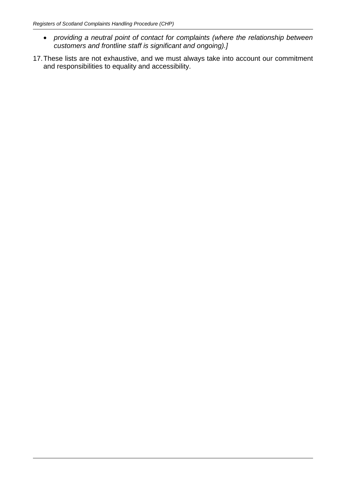- *providing a neutral point of contact for complaints (where the relationship between customers and frontline staff is significant and ongoing).]*
- 17.These lists are not exhaustive, and we must always take into account our commitment and responsibilities to equality and accessibility.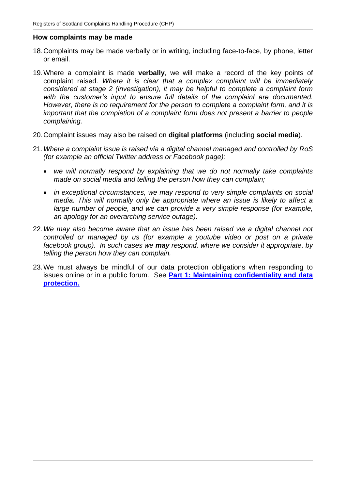#### **How complaints may be made**

- 18.Complaints may be made verbally or in writing, including face-to-face, by phone, letter or email.
- 19.Where a complaint is made **verbally**, we will make a record of the key points of complaint raised. *Where it is clear that a complex complaint will be immediately considered at stage 2 (investigation), it may be helpful to complete a complaint form with the customer's input to ensure full details of the complaint are documented. However, there is no requirement for the person to complete a complaint form, and it is important that the completion of a complaint form does not present a barrier to people complaining.*
- 20.Complaint issues may also be raised on **digital platforms** (including **social media**).
- 21.*Where a complaint issue is raised via a digital channel managed and controlled by RoS (for example an official Twitter address or Facebook page):*
	- *we will normally respond by explaining that we do not normally take complaints made on social media and telling the person how they can complain;*
	- *in exceptional circumstances, we may respond to very simple complaints on social media. This will normally only be appropriate where an issue is likely to affect a large number of people, and we can provide a very simple response (for example, an apology for an overarching service outage).*
- 22.*We may also become aware that an issue has been raised via a digital channel not controlled or managed by us (for example a youtube video or post on a private facebook group). In such cases we may respond, where we consider it appropriate, by telling the person how they can complain.*
- 23.We must always be mindful of our data protection obligations when responding to issues online or in a public forum. See **[Part 1: Maintaining confidentiality and data](https://www.spso.org.uk/sites/spso/files/csa/SGMCHPPart1.docx)  [protection.](https://www.spso.org.uk/sites/spso/files/csa/SGMCHPPart1.docx)**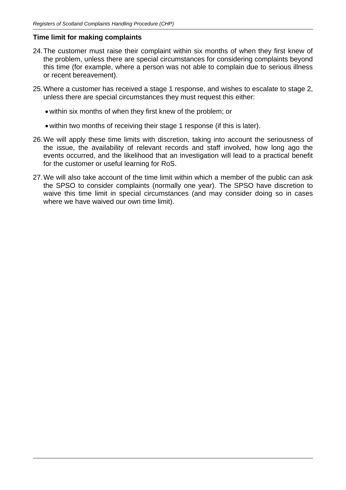### **Time limit for making complaints**

- 24.The customer must raise their complaint within six months of when they first knew of the problem, unless there are special circumstances for considering complaints beyond this time (for example, where a person was not able to complain due to serious illness or recent bereavement).
- 25.Where a customer has received a stage 1 response, and wishes to escalate to stage 2, unless there are special circumstances they must request this either:
	- within six months of when they first knew of the problem; or
	- within two months of receiving their stage 1 response (if this is later).
- 26.We will apply these time limits with discretion, taking into account the seriousness of the issue, the availability of relevant records and staff involved, how long ago the events occurred, and the likelihood that an investigation will lead to a practical benefit for the customer or useful learning for RoS.
- 27.We will also take account of the time limit within which a member of the public can ask the SPSO to consider complaints (normally one year). The SPSO have discretion to waive this time limit in special circumstances (and may consider doing so in cases where we have waived our own time limit).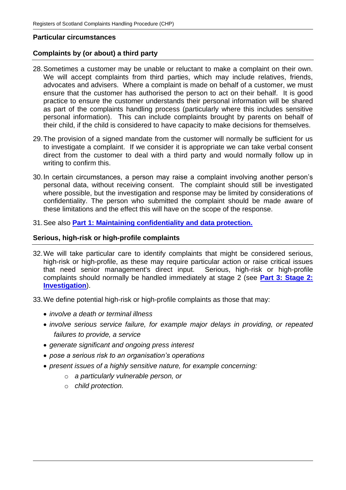#### **Particular circumstances**

### **Complaints by (or about) a third party**

- 28.Sometimes a customer may be unable or reluctant to make a complaint on their own. We will accept complaints from third parties, which may include relatives, friends, advocates and advisers. Where a complaint is made on behalf of a customer, we must ensure that the customer has authorised the person to act on their behalf. It is good practice to ensure the customer understands their personal information will be shared as part of the complaints handling process (particularly where this includes sensitive personal information). This can include complaints brought by parents on behalf of their child, if the child is considered to have capacity to make decisions for themselves.
- 29.The provision of a signed mandate from the customer will normally be sufficient for us to investigate a complaint. If we consider it is appropriate we can take verbal consent direct from the customer to deal with a third party and would normally follow up in writing to confirm this.
- 30.In certain circumstances, a person may raise a complaint involving another person's personal data, without receiving consent. The complaint should still be investigated where possible, but the investigation and response may be limited by considerations of confidentiality. The person who submitted the complaint should be made aware of these limitations and the effect this will have on the scope of the response.
- 31.See also **[Part 1: Maintaining confidentiality and data protection.](https://www.spso.org.uk/sites/spso/files/csa/SGMCHPPart1.docx)**

#### **Serious, high-risk or high-profile complaints**

- 32.We will take particular care to identify complaints that might be considered serious, high-risk or high-profile, as these may require particular action or raise critical issues that need senior management's direct input. Serious, high-risk or high-profile complaints should normally be handled immediately at stage 2 (see **[Part 3: Stage 2:](https://www.spso.org.uk/sites/spso/files/csa/SGMCHPPart3.docx)  [Investigation](https://www.spso.org.uk/sites/spso/files/csa/SGMCHPPart3.docx)**).
- 33.We define potential high-risk or high-profile complaints as those that may:
	- *involve a death or terminal illness*
	- *involve serious service failure, for example major delays in providing, or repeated failures to provide, a service*
	- *generate significant and ongoing press interest*
	- *pose a serious risk to an organisation's operations*
	- *present issues of a highly sensitive nature, for example concerning:*
		- o *a particularly vulnerable person, or*
		- o *child protection.*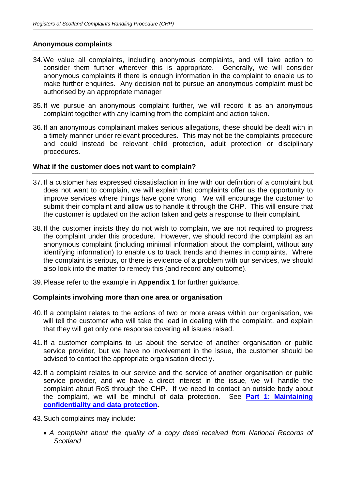### **Anonymous complaints**

- 34.We value all complaints, including anonymous complaints, and will take action to consider them further wherever this is appropriate. Generally, we will consider anonymous complaints if there is enough information in the complaint to enable us to make further enquiries. Any decision not to pursue an anonymous complaint must be authorised by an appropriate manager
- 35.If we pursue an anonymous complaint further, we will record it as an anonymous complaint together with any learning from the complaint and action taken.
- 36.If an anonymous complainant makes serious allegations, these should be dealt with in a timely manner under relevant procedures. This may not be the complaints procedure and could instead be relevant child protection, adult protection or disciplinary procedures.

### **What if the customer does not want to complain?**

- 37.If a customer has expressed dissatisfaction in line with our definition of a complaint but does not want to complain, we will explain that complaints offer us the opportunity to improve services where things have gone wrong. We will encourage the customer to submit their complaint and allow us to handle it through the CHP. This will ensure that the customer is updated on the action taken and gets a response to their complaint.
- 38.If the customer insists they do not wish to complain, we are not required to progress the complaint under this procedure. However, we should record the complaint as an anonymous complaint (including minimal information about the complaint, without any identifying information) to enable us to track trends and themes in complaints. Where the complaint is serious, or there is evidence of a problem with our services, we should also look into the matter to remedy this (and record any outcome).
- 39.Please refer to the example in **Appendix 1** for further guidance.

## **Complaints involving more than one area or organisation**

- 40.If a complaint relates to the actions of two or more areas within our organisation, we will tell the customer who will take the lead in dealing with the complaint, and explain that they will get only one response covering all issues raised.
- 41.If a customer complains to us about the service of another organisation or public service provider, but we have no involvement in the issue, the customer should be advised to contact the appropriate organisation directly.
- 42.If a complaint relates to our service and the service of another organisation or public service provider, and we have a direct interest in the issue, we will handle the complaint about RoS through the CHP. If we need to contact an outside body about the complaint, we will be mindful of data protection. See **[Part 1: Maintaining](https://www.spso.org.uk/sites/spso/files/csa/SGMCHPPart1.docx)  confidentiality [and data protection.](https://www.spso.org.uk/sites/spso/files/csa/SGMCHPPart1.docx)**
- 43.Such complaints may include:
	- *A complaint about the quality of a copy deed received from National Records of Scotland*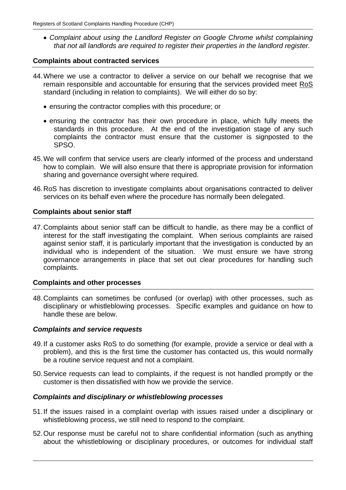• *Complaint about using the Landlord Register on Google Chrome whilst complaining that not all landlords are required to register their properties in the landlord register.* 

#### **Complaints about contracted services**

- 44.Where we use a contractor to deliver a service on our behalf we recognise that we remain responsible and accountable for ensuring that the services provided meet RoS standard (including in relation to complaints). We will either do so by:
	- ensuring the contractor complies with this procedure; or
	- ensuring the contractor has their own procedure in place, which fully meets the standards in this procedure. At the end of the investigation stage of any such complaints the contractor must ensure that the customer is signposted to the SPSO.
- 45.We will confirm that service users are clearly informed of the process and understand how to complain. We will also ensure that there is appropriate provision for information sharing and governance oversight where required.
- 46.RoS has discretion to investigate complaints about organisations contracted to deliver services on its behalf even where the procedure has normally been delegated.

### **Complaints about senior staff**

47.Complaints about senior staff can be difficult to handle, as there may be a conflict of interest for the staff investigating the complaint. When serious complaints are raised against senior staff, it is particularly important that the investigation is conducted by an individual who is independent of the situation. We must ensure we have strong governance arrangements in place that set out clear procedures for handling such complaints.

#### **Complaints and other processes**

48.Complaints can sometimes be confused (or overlap) with other processes, such as disciplinary or whistleblowing processes. Specific examples and guidance on how to handle these are below.

#### *Complaints and service requests*

- 49.If a customer asks RoS to do something (for example, provide a service or deal with a problem), and this is the first time the customer has contacted us, this would normally be a routine service request and not a complaint.
- 50.Service requests can lead to complaints, if the request is not handled promptly or the customer is then dissatisfied with how we provide the service.

## *Complaints and disciplinary or whistleblowing processes*

- 51.If the issues raised in a complaint overlap with issues raised under a disciplinary or whistleblowing process, we still need to respond to the complaint.
- 52.Our response must be careful not to share confidential information (such as anything about the whistleblowing or disciplinary procedures, or outcomes for individual staff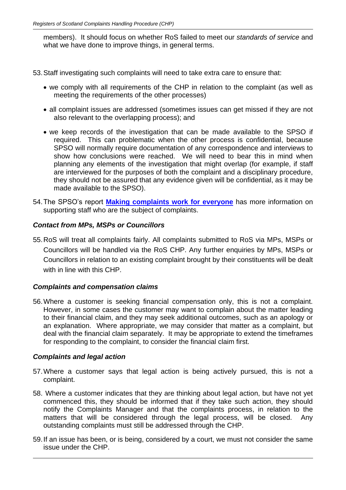members). It should focus on whether RoS failed to meet our *standards of service* and what we have done to improve things, in general terms.

53.Staff investigating such complaints will need to take extra care to ensure that:

- we comply with all requirements of the CHP in relation to the complaint (as well as meeting the requirements of the other processes)
- all complaint issues are addressed (sometimes issues can get missed if they are not also relevant to the overlapping process); and
- we keep records of the investigation that can be made available to the SPSO if required. This can problematic when the other process is confidential, because SPSO will normally require documentation of any correspondence and interviews to show how conclusions were reached. We will need to bear this in mind when planning any elements of the investigation that might overlap (for example, if staff are interviewed for the purposes of both the complaint and a disciplinary procedure, they should not be assured that any evidence given will be confidential, as it may be made available to the SPSO).
- 54.The SPSO's report **[Making complaints work for everyone](https://www.spso.org.uk/sites/spso/files/communications_material/Thematic_Reports/MakingComplaintsWorkForEveryoneFinalWeb.pdf)** has more information on supporting staff who are the subject of complaints.

# *Contact from MPs, MSPs or Councillors*

55.RoS will treat all complaints fairly. All complaints submitted to RoS via MPs, MSPs or Councillors will be handled via the RoS CHP. Any further enquiries by MPs, MSPs or Councillors in relation to an existing complaint brought by their constituents will be dealt with in line with this CHP.

# *Complaints and compensation claims*

56.Where a customer is seeking financial compensation only, this is not a complaint. However, in some cases the customer may want to complain about the matter leading to their financial claim, and they may seek additional outcomes, such as an apology or an explanation. Where appropriate, we may consider that matter as a complaint, but deal with the financial claim separately. It may be appropriate to extend the timeframes for responding to the complaint, to consider the financial claim first.

# *Complaints and legal action*

- 57.Where a customer says that legal action is being actively pursued, this is not a complaint.
- 58. Where a customer indicates that they are thinking about legal action, but have not yet commenced this, they should be informed that if they take such action, they should notify the Complaints Manager and that the complaints process, in relation to the matters that will be considered through the legal process, will be closed. Any outstanding complaints must still be addressed through the CHP.
- 59.If an issue has been, or is being, considered by a court, we must not consider the same issue under the CHP.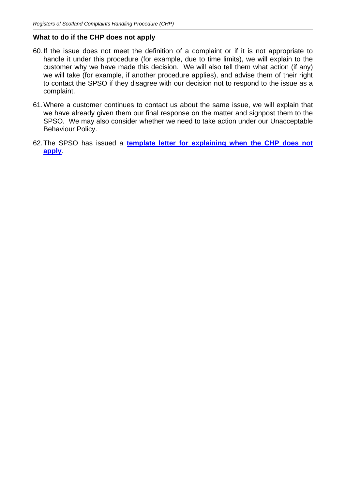### **What to do if the CHP does not apply**

- 60.If the issue does not meet the definition of a complaint or if it is not appropriate to handle it under this procedure (for example, due to time limits), we will explain to the customer why we have made this decision. We will also tell them what action (if any) we will take (for example, if another procedure applies), and advise them of their right to contact the SPSO if they disagree with our decision not to respond to the issue as a complaint.
- 61.Where a customer continues to contact us about the same issue, we will explain that we have already given them our final response on the matter and signpost them to the SPSO. We may also consider whether we need to take action under our Unacceptable Behaviour Policy.
- 62.The SPSO has issued a **[template letter for explaining when the CHP does not](https://www.spso.org.uk/how-we-offer-support)  [apply](https://www.spso.org.uk/how-we-offer-support)**.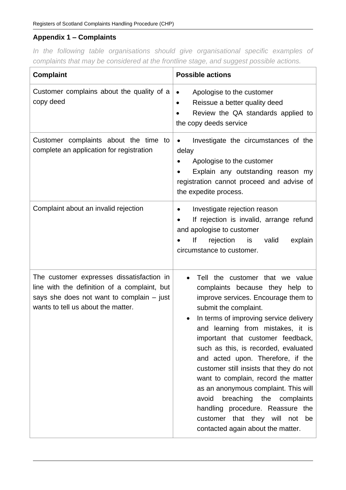# **Appendix 1 – Complaints**

*In the following table organisations should give organisational specific examples of complaints that may be considered at the frontline stage, and suggest possible actions.*

| <b>Complaint</b>                                                                                                                                                               | <b>Possible actions</b>                                                                                                                                                                                                                                                                                                                                                                                                                                                                                                                                                                                          |
|--------------------------------------------------------------------------------------------------------------------------------------------------------------------------------|------------------------------------------------------------------------------------------------------------------------------------------------------------------------------------------------------------------------------------------------------------------------------------------------------------------------------------------------------------------------------------------------------------------------------------------------------------------------------------------------------------------------------------------------------------------------------------------------------------------|
| Customer complains about the quality of a<br>copy deed                                                                                                                         | Apologise to the customer<br>$\bullet$<br>Reissue a better quality deed<br>٠<br>Review the QA standards applied to<br>the copy deeds service                                                                                                                                                                                                                                                                                                                                                                                                                                                                     |
| Customer complaints about the time to<br>complete an application for registration                                                                                              | Investigate the circumstances of the<br>$\bullet$<br>delay<br>Apologise to the customer<br>Explain any outstanding reason my<br>registration cannot proceed and advise of<br>the expedite process.                                                                                                                                                                                                                                                                                                                                                                                                               |
| Complaint about an invalid rejection                                                                                                                                           | Investigate rejection reason<br>If rejection is invalid, arrange refund<br>and apologise to customer<br>lf<br>rejection<br>valid<br>explain<br>is<br>circumstance to customer.                                                                                                                                                                                                                                                                                                                                                                                                                                   |
| The customer expresses dissatisfaction in<br>line with the definition of a complaint, but<br>says she does not want to complain $-$ just<br>wants to tell us about the matter. | Tell the customer that we value<br>complaints because they help to<br>improve services. Encourage them to<br>submit the complaint.<br>In terms of improving service delivery<br>and learning from mistakes, it is<br>important that customer feedback,<br>such as this, is recorded, evaluated<br>and acted upon. Therefore, if the<br>customer still insists that they do not<br>want to complain, record the matter<br>as an anonymous complaint. This will<br>breaching the complaints<br>avoid<br>handling procedure. Reassure the<br>customer that they will not<br>be<br>contacted again about the matter. |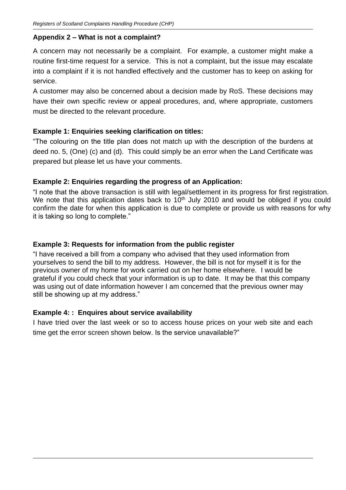## **Appendix 2 – What is not a complaint?**

A concern may not necessarily be a complaint. For example, a customer might make a routine first-time request for a service. This is not a complaint, but the issue may escalate into a complaint if it is not handled effectively and the customer has to keep on asking for service.

A customer may also be concerned about a decision made by RoS. These decisions may have their own specific review or appeal procedures, and, where appropriate, customers must be directed to the relevant procedure.

## **Example 1: Enquiries seeking clarification on titles:**

"The colouring on the title plan does not match up with the description of the burdens at deed no. 5, (One) (c) and (d). This could simply be an error when the Land Certificate was prepared but please let us have your comments.

# **Example 2: Enquiries regarding the progress of an Application:**

"I note that the above transaction is still with legal/settlement in its progress for first registration. We note that this application dates back to  $10<sup>th</sup>$  July 2010 and would be obliged if you could confirm the date for when this application is due to complete or provide us with reasons for why it is taking so long to complete."

## **Example 3: Requests for information from the public register**

"I have received a bill from a company who advised that they used information from yourselves to send the bill to my address. However, the bill is not for myself it is for the previous owner of my home for work carried out on her home elsewhere. I would be grateful if you could check that your information is up to date. It may be that this company was using out of date information however I am concerned that the previous owner may still be showing up at my address."

## **Example 4: : Enquires about service availability**

I have tried over the last week or so to access house prices on your web site and each time get the error screen shown below. Is the service unavailable?"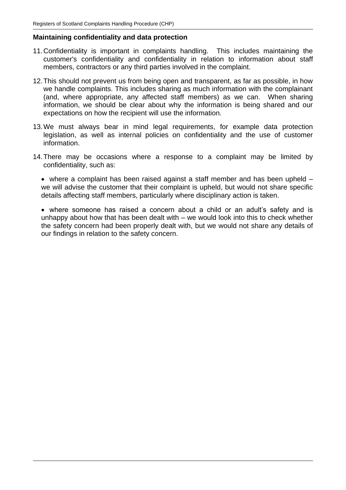#### **Maintaining confidentiality and data protection**

- 11.Confidentiality is important in complaints handling. This includes maintaining the customer's confidentiality and confidentiality in relation to information about staff members, contractors or any third parties involved in the complaint.
- 12.This should not prevent us from being open and transparent, as far as possible, in how we handle complaints. This includes sharing as much information with the complainant (and, where appropriate, any affected staff members) as we can. When sharing information, we should be clear about why the information is being shared and our expectations on how the recipient will use the information.
- 13.We must always bear in mind legal requirements, for example data protection legislation, as well as internal policies on confidentiality and the use of customer  $information<sub>1</sub>$
- 14.There may be occasions where a response to a complaint may be limited by confidentiality, such as:

• where a complaint has been raised against a staff member and has been upheld – we will advise the customer that their complaint is upheld, but would not share specific details affecting staff members, particularly where disciplinary action is taken.

• where someone has raised a concern about a child or an adult's safety and is unhappy about how that has been dealt with – we would look into this to check whether the safety concern had been properly dealt with, but we would not share any details of our findings in relation to the safety concern.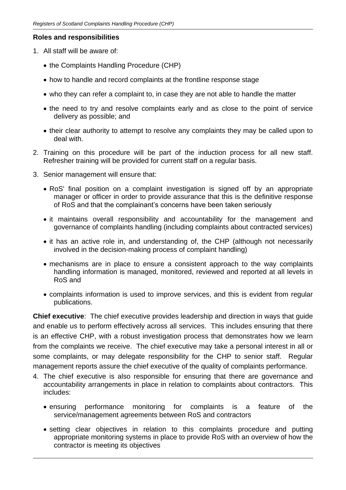### **Roles and responsibilities**

- 1. All staff will be aware of:
	- the Complaints Handling Procedure (CHP)
	- how to handle and record complaints at the frontline response stage
	- who they can refer a complaint to, in case they are not able to handle the matter
	- the need to try and resolve complaints early and as close to the point of service delivery as possible; and
	- their clear authority to attempt to resolve any complaints they may be called upon to deal with.
- 2. Training on this procedure will be part of the induction process for all new staff. Refresher training will be provided for current staff on a regular basis.
- 3. Senior management will ensure that:
	- RoS' final position on a complaint investigation is signed off by an appropriate manager or officer in order to provide assurance that this is the definitive response of RoS and that the complainant's concerns have been taken seriously
	- it maintains overall responsibility and accountability for the management and governance of complaints handling (including complaints about contracted services)
	- it has an active role in, and understanding of, the CHP (although not necessarily involved in the decision-making process of complaint handling)
	- mechanisms are in place to ensure a consistent approach to the way complaints handling information is managed, monitored, reviewed and reported at all levels in RoS and
	- complaints information is used to improve services, and this is evident from regular publications.

**Chief executive**: The chief executive provides leadership and direction in ways that guide and enable us to perform effectively across all services. This includes ensuring that there is an effective CHP, with a robust investigation process that demonstrates how we learn from the complaints we receive. The chief executive may take a personal interest in all or some complaints, or may delegate responsibility for the CHP to senior staff. Regular management reports assure the chief executive of the quality of complaints performance.

- 4. The chief executive is also responsible for ensuring that there are governance and accountability arrangements in place in relation to complaints about contractors. This includes:
	- ensuring performance monitoring for complaints is a feature of the service/management agreements between RoS and contractors
	- setting clear objectives in relation to this complaints procedure and putting appropriate monitoring systems in place to provide RoS with an overview of how the contractor is meeting its objectives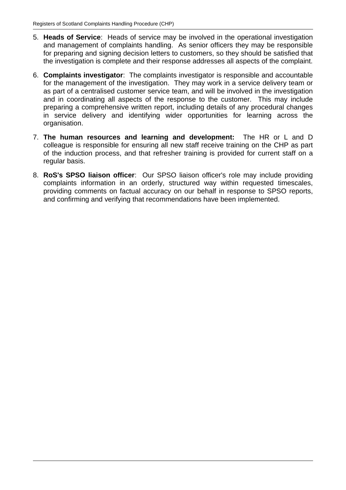- 5. **Heads of Service**: Heads of service may be involved in the operational investigation and management of complaints handling. As senior officers they may be responsible for preparing and signing decision letters to customers, so they should be satisfied that the investigation is complete and their response addresses all aspects of the complaint.
- 6. **Complaints investigator**: The complaints investigator is responsible and accountable for the management of the investigation. They may work in a service delivery team or as part of a centralised customer service team, and will be involved in the investigation and in coordinating all aspects of the response to the customer. This may include preparing a comprehensive written report, including details of any procedural changes in service delivery and identifying wider opportunities for learning across the organisation.
- 7. **The human resources and learning and development:** The HR or L and D colleague is responsible for ensuring all new staff receive training on the CHP as part of the induction process, and that refresher training is provided for current staff on a regular basis.
- 8. **RoS's SPSO liaison officer**: Our SPSO liaison officer's role may include providing complaints information in an orderly, structured way within requested timescales, providing comments on factual accuracy on our behalf in response to SPSO reports, and confirming and verifying that recommendations have been implemented.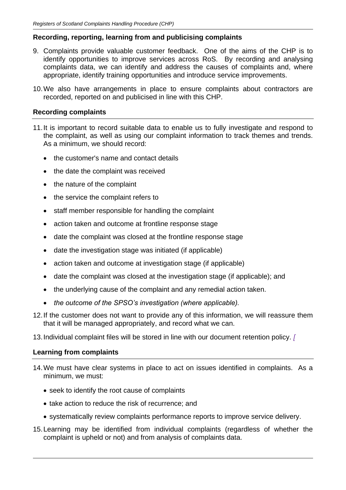# **Recording, reporting, learning from and publicising complaints**

- 9. Complaints provide valuable customer feedback. One of the aims of the CHP is to identify opportunities to improve services across RoS. By recording and analysing complaints data, we can identify and address the causes of complaints and, where appropriate, identify training opportunities and introduce service improvements.
- 10.We also have arrangements in place to ensure complaints about contractors are recorded, reported on and publicised in line with this CHP.

# **Recording complaints**

- 11.It is important to record suitable data to enable us to fully investigate and respond to the complaint, as well as using our complaint information to track themes and trends. As a minimum, we should record:
	- the customer's name and contact details
	- the date the complaint was received
	- the nature of the complaint
	- the service the complaint refers to
	- staff member responsible for handling the complaint
	- action taken and outcome at frontline response stage
	- date the complaint was closed at the frontline response stage
	- date the investigation stage was initiated (if applicable)
	- action taken and outcome at investigation stage (if applicable)
	- date the complaint was closed at the investigation stage (if applicable); and
	- the underlying cause of the complaint and any remedial action taken.
	- *the outcome of the SPSO's investigation (where applicable).*
- 12.If the customer does not want to provide any of this information, we will reassure them that it will be managed appropriately, and record what we can.
- 13.Individual complaint files will be stored in line with our document retention policy. *[*

## **Learning from complaints**

- 14.We must have clear systems in place to act on issues identified in complaints. As a minimum, we must:
	- seek to identify the root cause of complaints
	- take action to reduce the risk of recurrence; and
	- systematically review complaints performance reports to improve service delivery.
- 15.Learning may be identified from individual complaints (regardless of whether the complaint is upheld or not) and from analysis of complaints data.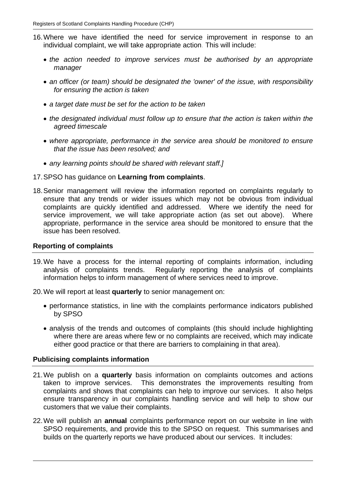- 16.Where we have identified the need for service improvement in response to an individual complaint, we will take appropriate action. This will include:
	- *the action needed to improve services must be authorised by an appropriate manager*
	- *an officer (or team) should be designated the 'owner' of the issue, with responsibility for ensuring the action is taken*
	- *a target date must be set for the action to be taken*
	- *the designated individual must follow up to ensure that the action is taken within the agreed timescale*
	- *where appropriate, performance in the service area should be monitored to ensure that the issue has been resolved; and*
	- *any learning points should be shared with relevant staff.]*
- 17.SPSO has guidance on **Learning from complaints**.
- 18.Senior management will review the information reported on complaints regularly to ensure that any trends or wider issues which may not be obvious from individual complaints are quickly identified and addressed. Where we identify the need for service improvement, we will take appropriate action (as set out above). Where appropriate, performance in the service area should be monitored to ensure that the issue has been resolved.

#### **Reporting of complaints**

- 19.We have a process for the internal reporting of complaints information, including analysis of complaints trends. Regularly reporting the analysis of complaints information helps to inform management of where services need to improve.
- 20.We will report at least **quarterly** to senior management on:
	- performance statistics, in line with the complaints performance indicators published by SPSO
	- analysis of the trends and outcomes of complaints (this should include highlighting where there are areas where few or no complaints are received, which may indicate either good practice or that there are barriers to complaining in that area).

#### **Publicising complaints information**

- 21.We publish on a **quarterly** basis information on complaints outcomes and actions taken to improve services. This demonstrates the improvements resulting from complaints and shows that complaints can help to improve our services. It also helps ensure transparency in our complaints handling service and will help to show our customers that we value their complaints.
- 22.We will publish an **annual** complaints performance report on our website in line with SPSO requirements, and provide this to the SPSO on request. This summarises and builds on the quarterly reports we have produced about our services. It includes: